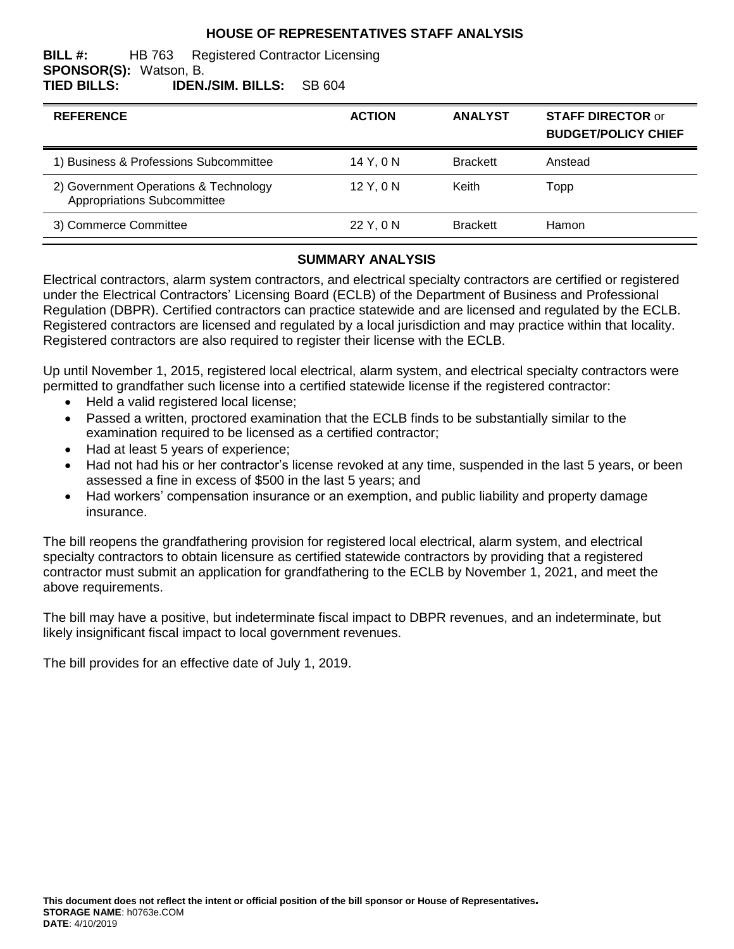#### **HOUSE OF REPRESENTATIVES STAFF ANALYSIS**

#### **BILL #:** HB 763 Registered Contractor Licensing **SPONSOR(S):** Watson, B. **TIED BILLS: IDEN./SIM. BILLS:** SB 604

| <b>REFERENCE</b>                                                     | <b>ACTION</b> | <b>ANALYST</b>  | <b>STAFF DIRECTOR or</b><br><b>BUDGET/POLICY CHIEF</b> |
|----------------------------------------------------------------------|---------------|-----------------|--------------------------------------------------------|
| 1) Business & Professions Subcommittee                               | 14 Y, 0 N     | <b>Brackett</b> | Anstead                                                |
| 2) Government Operations & Technology<br>Appropriations Subcommittee | $12$ Y, 0 N   | Keith           | Topp                                                   |
| 3) Commerce Committee                                                | 22 Y, 0 N     | <b>Brackett</b> | Hamon                                                  |

#### **SUMMARY ANALYSIS**

Electrical contractors, alarm system contractors, and electrical specialty contractors are certified or registered under the Electrical Contractors' Licensing Board (ECLB) of the Department of Business and Professional Regulation (DBPR). Certified contractors can practice statewide and are licensed and regulated by the ECLB. Registered contractors are licensed and regulated by a local jurisdiction and may practice within that locality. Registered contractors are also required to register their license with the ECLB.

Up until November 1, 2015, registered local electrical, alarm system, and electrical specialty contractors were permitted to grandfather such license into a certified statewide license if the registered contractor:

- Held a valid registered local license;
- Passed a written, proctored examination that the ECLB finds to be substantially similar to the examination required to be licensed as a certified contractor;
- Had at least 5 years of experience;
- Had not had his or her contractor's license revoked at any time, suspended in the last 5 years, or been assessed a fine in excess of \$500 in the last 5 years; and
- Had workers' compensation insurance or an exemption, and public liability and property damage insurance.

The bill reopens the grandfathering provision for registered local electrical, alarm system, and electrical specialty contractors to obtain licensure as certified statewide contractors by providing that a registered contractor must submit an application for grandfathering to the ECLB by November 1, 2021, and meet the above requirements.

The bill may have a positive, but indeterminate fiscal impact to DBPR revenues, and an indeterminate, but likely insignificant fiscal impact to local government revenues.

The bill provides for an effective date of July 1, 2019.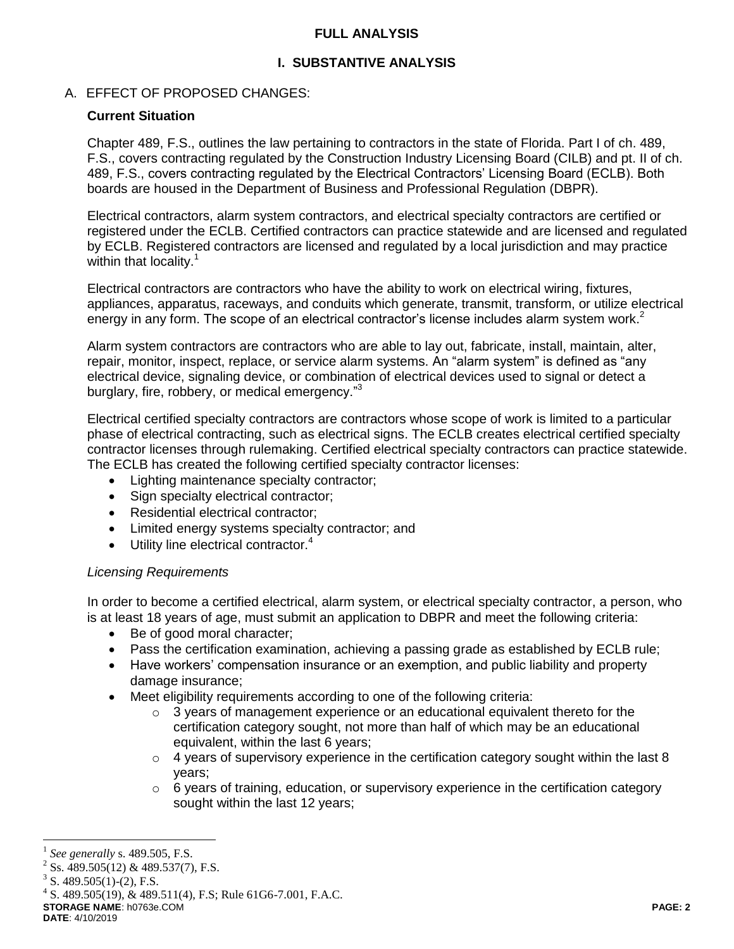#### **FULL ANALYSIS**

# **I. SUBSTANTIVE ANALYSIS**

#### A. EFFECT OF PROPOSED CHANGES:

#### **Current Situation**

Chapter 489, F.S., outlines the law pertaining to contractors in the state of Florida. Part I of ch. 489, F.S., covers contracting regulated by the Construction Industry Licensing Board (CILB) and pt. II of ch. 489, F.S., covers contracting regulated by the Electrical Contractors' Licensing Board (ECLB). Both boards are housed in the Department of Business and Professional Regulation (DBPR).

Electrical contractors, alarm system contractors, and electrical specialty contractors are certified or registered under the ECLB. Certified contractors can practice statewide and are licensed and regulated by ECLB. Registered contractors are licensed and regulated by a local jurisdiction and may practice within that locality.<sup>1</sup>

Electrical contractors are contractors who have the ability to work on electrical wiring, fixtures, appliances, apparatus, raceways, and conduits which generate, transmit, transform, or utilize electrical energy in any form. The scope of an electrical contractor's license includes alarm system work.<sup>2</sup>

Alarm system contractors are contractors who are able to lay out, fabricate, install, maintain, alter, repair, monitor, inspect, replace, or service alarm systems. An "alarm system" is defined as "any electrical device, signaling device, or combination of electrical devices used to signal or detect a burglary, fire, robbery, or medical emergency."<sup>3</sup>

Electrical certified specialty contractors are contractors whose scope of work is limited to a particular phase of electrical contracting, such as electrical signs. The ECLB creates electrical certified specialty contractor licenses through rulemaking. Certified electrical specialty contractors can practice statewide. The ECLB has created the following certified specialty contractor licenses:

- Lighting maintenance specialty contractor;
- Sign specialty electrical contractor;
- Residential electrical contractor;
- Limited energy systems specialty contractor; and
- $\bullet$  Utility line electrical contractor.<sup>4</sup>

#### *Licensing Requirements*

In order to become a certified electrical, alarm system, or electrical specialty contractor, a person, who is at least 18 years of age, must submit an application to DBPR and meet the following criteria:

- Be of good moral character;
- Pass the certification examination, achieving a passing grade as established by ECLB rule;
- Have workers' compensation insurance or an exemption, and public liability and property damage insurance;
- Meet eligibility requirements according to one of the following criteria:
	- $\circ$  3 years of management experience or an educational equivalent thereto for the certification category sought, not more than half of which may be an educational equivalent, within the last 6 years;
	- o 4 years of supervisory experience in the certification category sought within the last 8 years;
	- $\circ$  6 years of training, education, or supervisory experience in the certification category sought within the last 12 years;

**DATE**: 4/10/2019

 $\overline{a}$ 

<sup>1</sup> *See generally* s. 489.505, F.S. 2

Ss. 489.505(12) & 489.537(7), F.S.

 $3$  S. 489.505(1)-(2), F.S.

**STORAGE NAME**: h0763e.COM **PAGE: 2**  $4^4$  S. 489.505(19), & 489.511(4), F.S; Rule 61G6-7.001, F.A.C.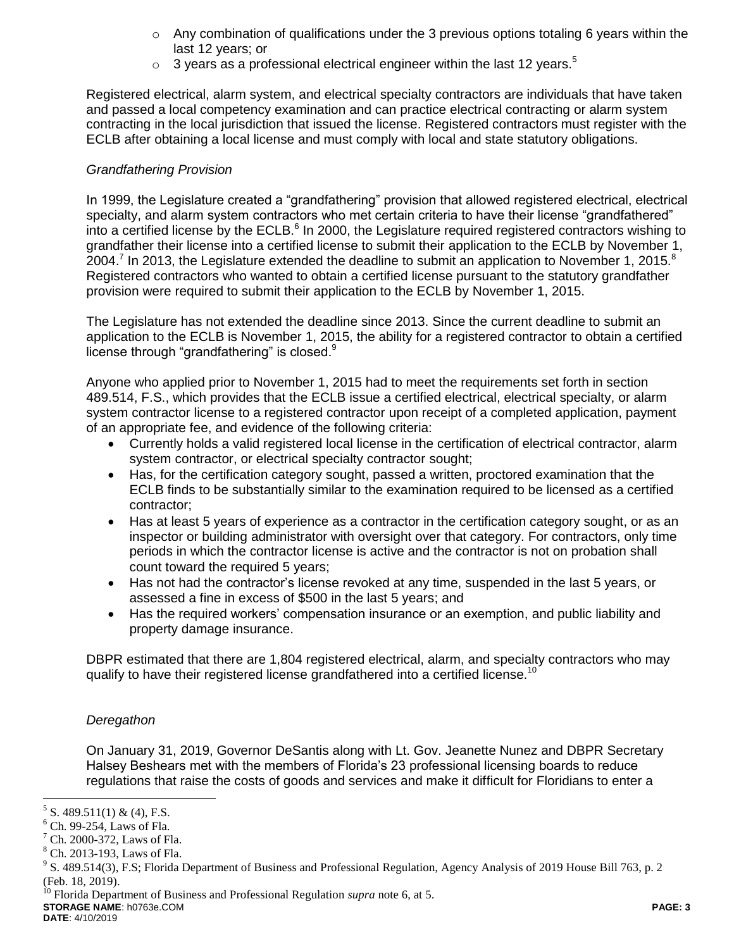- o Any combination of qualifications under the 3 previous options totaling 6 years within the last 12 years; or
- $\circ$  3 years as a professional electrical engineer within the last 12 years.<sup>5</sup>

Registered electrical, alarm system, and electrical specialty contractors are individuals that have taken and passed a local competency examination and can practice electrical contracting or alarm system contracting in the local jurisdiction that issued the license. Registered contractors must register with the ECLB after obtaining a local license and must comply with local and state statutory obligations.

# *Grandfathering Provision*

In 1999, the Legislature created a "grandfathering" provision that allowed registered electrical, electrical specialty, and alarm system contractors who met certain criteria to have their license "grandfathered" into a certified license by the ECLB.<sup>6</sup> In 2000, the Legislature required registered contractors wishing to grandfather their license into a certified license to submit their application to the ECLB by November 1, 2004.<sup>7</sup> In 2013, the Legislature extended the deadline to submit an application to November 1, 2015.<sup>8</sup> Registered contractors who wanted to obtain a certified license pursuant to the statutory grandfather provision were required to submit their application to the ECLB by November 1, 2015.

The Legislature has not extended the deadline since 2013. Since the current deadline to submit an application to the ECLB is November 1, 2015, the ability for a registered contractor to obtain a certified license through "grandfathering" is closed.<sup>9</sup>

Anyone who applied prior to November 1, 2015 had to meet the requirements set forth in section 489.514, F.S., which provides that the ECLB issue a certified electrical, electrical specialty, or alarm system contractor license to a registered contractor upon receipt of a completed application, payment of an appropriate fee, and evidence of the following criteria:

- Currently holds a valid registered local license in the certification of electrical contractor, alarm system contractor, or electrical specialty contractor sought;
- Has, for the certification category sought, passed a written, proctored examination that the ECLB finds to be substantially similar to the examination required to be licensed as a certified contractor;
- Has at least 5 years of experience as a contractor in the certification category sought, or as an inspector or building administrator with oversight over that category. For contractors, only time periods in which the contractor license is active and the contractor is not on probation shall count toward the required 5 years;
- Has not had the contractor's license revoked at any time, suspended in the last 5 years, or assessed a fine in excess of \$500 in the last 5 years; and
- Has the required workers' compensation insurance or an exemption, and public liability and property damage insurance.

DBPR estimated that there are 1,804 registered electrical, alarm, and specialty contractors who may qualify to have their registered license grandfathered into a certified license.<sup>10</sup>

#### *Deregathon*

On January 31, 2019, Governor DeSantis along with Lt. Gov. Jeanette Nunez and DBPR Secretary Halsey Beshears met with the members of Florida's 23 professional licensing boards to reduce regulations that raise the costs of goods and services and make it difficult for Floridians to enter a

<sup>10</sup> Florida Department of Business and Professional Regulation *supra* note 6, at 5.

 $\overline{a}$  $5$  S. 489.511(1) & (4), F.S.

 $6$  Ch. 99-254, Laws of Fla.

 $7$  Ch. 2000-372, Laws of Fla.

<sup>8</sup> Ch. 2013-193, Laws of Fla.

<sup>&</sup>lt;sup>9</sup> S. 489.514(3), F.S; Florida Department of Business and Professional Regulation, Agency Analysis of 2019 House Bill 763, p. 2 (Feb. 18, 2019).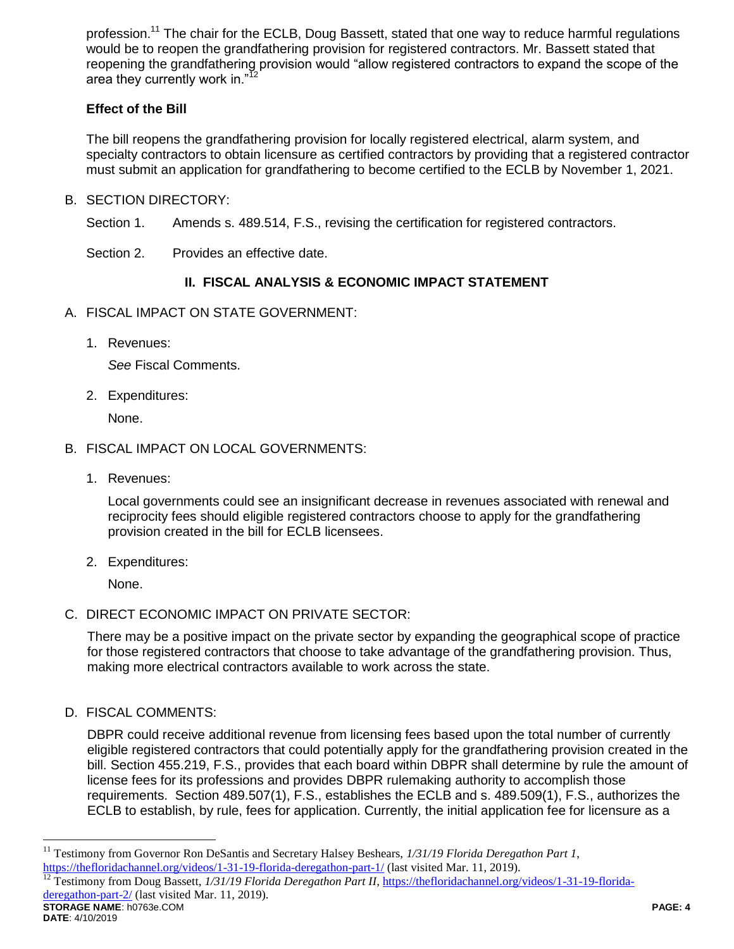profession.<sup>11</sup> The chair for the ECLB, Doug Bassett, stated that one way to reduce harmful regulations would be to reopen the grandfathering provision for registered contractors. Mr. Bassett stated that reopening the grandfathering provision would "allow registered contractors to expand the scope of the area they currently work in."<sup>12</sup>

# **Effect of the Bill**

The bill reopens the grandfathering provision for locally registered electrical, alarm system, and specialty contractors to obtain licensure as certified contractors by providing that a registered contractor must submit an application for grandfathering to become certified to the ECLB by November 1, 2021.

- B. SECTION DIRECTORY:
	- Section 1. Amends s. 489.514, F.S., revising the certification for registered contractors.
	- Section 2. Provides an effective date.

# **II. FISCAL ANALYSIS & ECONOMIC IMPACT STATEMENT**

- A. FISCAL IMPACT ON STATE GOVERNMENT:
	- 1. Revenues:

*See* Fiscal Comments.

2. Expenditures:

None.

### B. FISCAL IMPACT ON LOCAL GOVERNMENTS:

1. Revenues:

Local governments could see an insignificant decrease in revenues associated with renewal and reciprocity fees should eligible registered contractors choose to apply for the grandfathering provision created in the bill for ECLB licensees.

2. Expenditures:

None.

# C. DIRECT ECONOMIC IMPACT ON PRIVATE SECTOR:

There may be a positive impact on the private sector by expanding the geographical scope of practice for those registered contractors that choose to take advantage of the grandfathering provision. Thus, making more electrical contractors available to work across the state.

D. FISCAL COMMENTS:

DBPR could receive additional revenue from licensing fees based upon the total number of currently eligible registered contractors that could potentially apply for the grandfathering provision created in the bill. Section 455.219, F.S., provides that each board within DBPR shall determine by rule the amount of license fees for its professions and provides DBPR rulemaking authority to accomplish those requirements. Section 489.507(1), F.S., establishes the ECLB and s. 489.509(1), F.S., authorizes the ECLB to establish, by rule, fees for application. Currently, the initial application fee for licensure as a

**STORAGE NAME**: h0763e.COM **PAGE: 4** <sup>12</sup> Testimony from Doug Bassett, *1/31/19 Florida Deregathon Part II*, [https://thefloridachannel.org/videos/1-31-19-florida](https://thefloridachannel.org/videos/1-31-19-florida-deregathon-part-2/)[deregathon-part-2/](https://thefloridachannel.org/videos/1-31-19-florida-deregathon-part-2/) (last visited Mar. 11, 2019).

 $\overline{a}$ 

<sup>&</sup>lt;sup>11</sup> Testimony from Governor Ron DeSantis and Secretary Halsey Beshears, 1/31/19 Florida Deregathon Part 1, <https://thefloridachannel.org/videos/1-31-19-florida-deregathon-part-1/> (last visited Mar. 11, 2019).<br><sup>12</sup> Testimony from Doug Bassett, 1/31/10 Elorida Deregathon Part II, https://thefloridachannel.org/